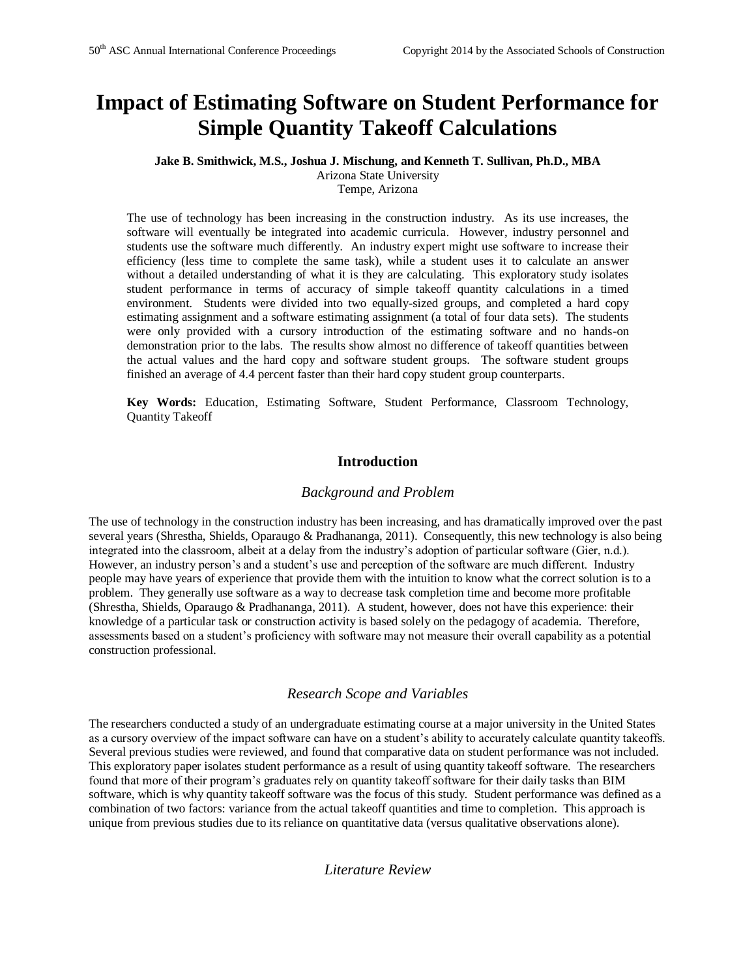# **Impact of Estimating Software on Student Performance for Simple Quantity Takeoff Calculations**

#### **Jake B. Smithwick, M.S., Joshua J. Mischung, and Kenneth T. Sullivan, Ph.D., MBA** Arizona State University

Tempe, Arizona

The use of technology has been increasing in the construction industry. As its use increases, the software will eventually be integrated into academic curricula. However, industry personnel and students use the software much differently. An industry expert might use software to increase their efficiency (less time to complete the same task), while a student uses it to calculate an answer without a detailed understanding of what it is they are calculating. This exploratory study isolates student performance in terms of accuracy of simple takeoff quantity calculations in a timed environment. Students were divided into two equally-sized groups, and completed a hard copy estimating assignment and a software estimating assignment (a total of four data sets). The students were only provided with a cursory introduction of the estimating software and no hands-on demonstration prior to the labs. The results show almost no difference of takeoff quantities between the actual values and the hard copy and software student groups. The software student groups finished an average of 4.4 percent faster than their hard copy student group counterparts.

**Key Words:** Education, Estimating Software, Student Performance, Classroom Technology, Quantity Takeoff

# **Introduction**

#### *Background and Problem*

The use of technology in the construction industry has been increasing, and has dramatically improved over the past several years (Shrestha, Shields, Oparaugo & Pradhananga, 2011). Consequently, this new technology is also being integrated into the classroom, albeit at a delay from the industry's adoption of particular software (Gier, n.d.). However, an industry person's and a student's use and perception of the software are much different. Industry people may have years of experience that provide them with the intuition to know what the correct solution is to a problem. They generally use software as a way to decrease task completion time and become more profitable (Shrestha, Shields, Oparaugo & Pradhananga, 2011). A student, however, does not have this experience: their knowledge of a particular task or construction activity is based solely on the pedagogy of academia. Therefore, assessments based on a student's proficiency with software may not measure their overall capability as a potential construction professional.

# *Research Scope and Variables*

The researchers conducted a study of an undergraduate estimating course at a major university in the United States as a cursory overview of the impact software can have on a student's ability to accurately calculate quantity takeoffs. Several previous studies were reviewed, and found that comparative data on student performance was not included. This exploratory paper isolates student performance as a result of using quantity takeoff software. The researchers found that more of their program's graduates rely on quantity takeoff software for their daily tasks than BIM software, which is why quantity takeoff software was the focus of this study. Student performance was defined as a combination of two factors: variance from the actual takeoff quantities and time to completion. This approach is unique from previous studies due to its reliance on quantitative data (versus qualitative observations alone).

# *Literature Review*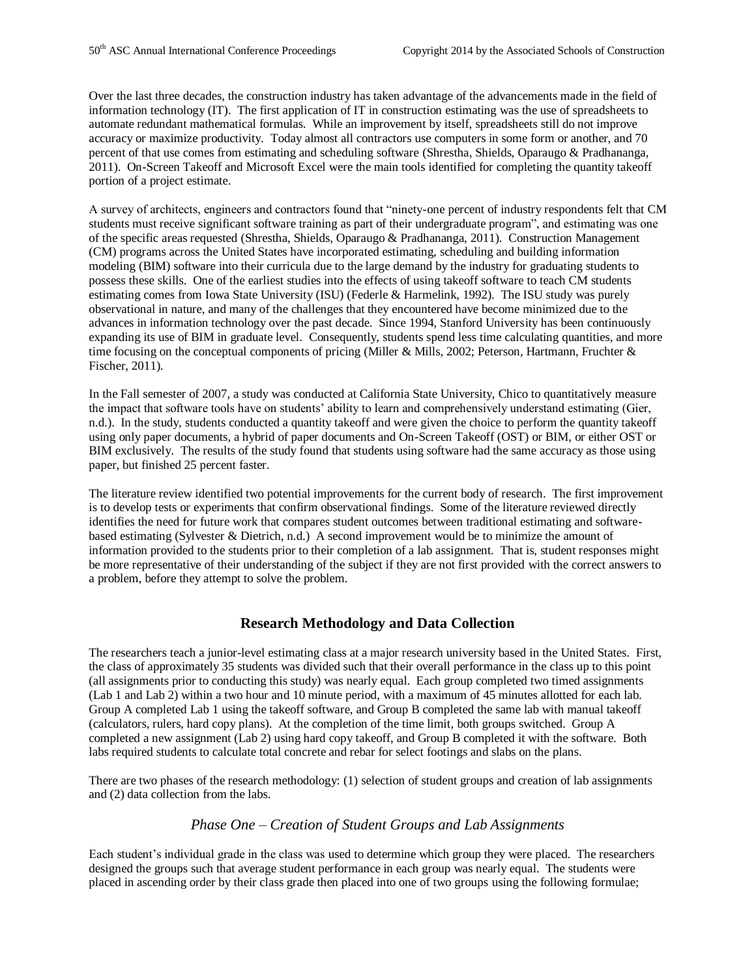Over the last three decades, the construction industry has taken advantage of the advancements made in the field of information technology (IT). The first application of IT in construction estimating was the use of spreadsheets to automate redundant mathematical formulas. While an improvement by itself, spreadsheets still do not improve accuracy or maximize productivity. Today almost all contractors use computers in some form or another, and 70 percent of that use comes from estimating and scheduling software (Shrestha, Shields, Oparaugo & Pradhananga, 2011). On-Screen Takeoff and Microsoft Excel were the main tools identified for completing the quantity takeoff portion of a project estimate.

A survey of architects, engineers and contractors found that "ninety-one percent of industry respondents felt that CM students must receive significant software training as part of their undergraduate program", and estimating was one of the specific areas requested (Shrestha, Shields, Oparaugo & Pradhananga, 2011). Construction Management (CM) programs across the United States have incorporated estimating, scheduling and building information modeling (BIM) software into their curricula due to the large demand by the industry for graduating students to possess these skills. One of the earliest studies into the effects of using takeoff software to teach CM students estimating comes from Iowa State University (ISU) (Federle & Harmelink, 1992). The ISU study was purely observational in nature, and many of the challenges that they encountered have become minimized due to the advances in information technology over the past decade. Since 1994, Stanford University has been continuously expanding its use of BIM in graduate level. Consequently, students spend less time calculating quantities, and more time focusing on the conceptual components of pricing (Miller & Mills, 2002; Peterson, Hartmann, Fruchter & Fischer, 2011).

In the Fall semester of 2007, a study was conducted at California State University, Chico to quantitatively measure the impact that software tools have on students' ability to learn and comprehensively understand estimating (Gier, n.d.). In the study, students conducted a quantity takeoff and were given the choice to perform the quantity takeoff using only paper documents, a hybrid of paper documents and On-Screen Takeoff (OST) or BIM, or either OST or BIM exclusively. The results of the study found that students using software had the same accuracy as those using paper, but finished 25 percent faster.

The literature review identified two potential improvements for the current body of research. The first improvement is to develop tests or experiments that confirm observational findings. Some of the literature reviewed directly identifies the need for future work that compares student outcomes between traditional estimating and softwarebased estimating (Sylvester & Dietrich, n.d.) A second improvement would be to minimize the amount of information provided to the students prior to their completion of a lab assignment. That is, student responses might be more representative of their understanding of the subject if they are not first provided with the correct answers to a problem, before they attempt to solve the problem.

# **Research Methodology and Data Collection**

The researchers teach a junior-level estimating class at a major research university based in the United States. First, the class of approximately 35 students was divided such that their overall performance in the class up to this point (all assignments prior to conducting this study) was nearly equal. Each group completed two timed assignments (Lab 1 and Lab 2) within a two hour and 10 minute period, with a maximum of 45 minutes allotted for each lab. Group A completed Lab 1 using the takeoff software, and Group B completed the same lab with manual takeoff (calculators, rulers, hard copy plans). At the completion of the time limit, both groups switched. Group A completed a new assignment (Lab 2) using hard copy takeoff, and Group B completed it with the software. Both labs required students to calculate total concrete and rebar for select footings and slabs on the plans.

There are two phases of the research methodology: (1) selection of student groups and creation of lab assignments and (2) data collection from the labs.

# *Phase One – Creation of Student Groups and Lab Assignments*

Each student's individual grade in the class was used to determine which group they were placed. The researchers designed the groups such that average student performance in each group was nearly equal. The students were placed in ascending order by their class grade then placed into one of two groups using the following formulae;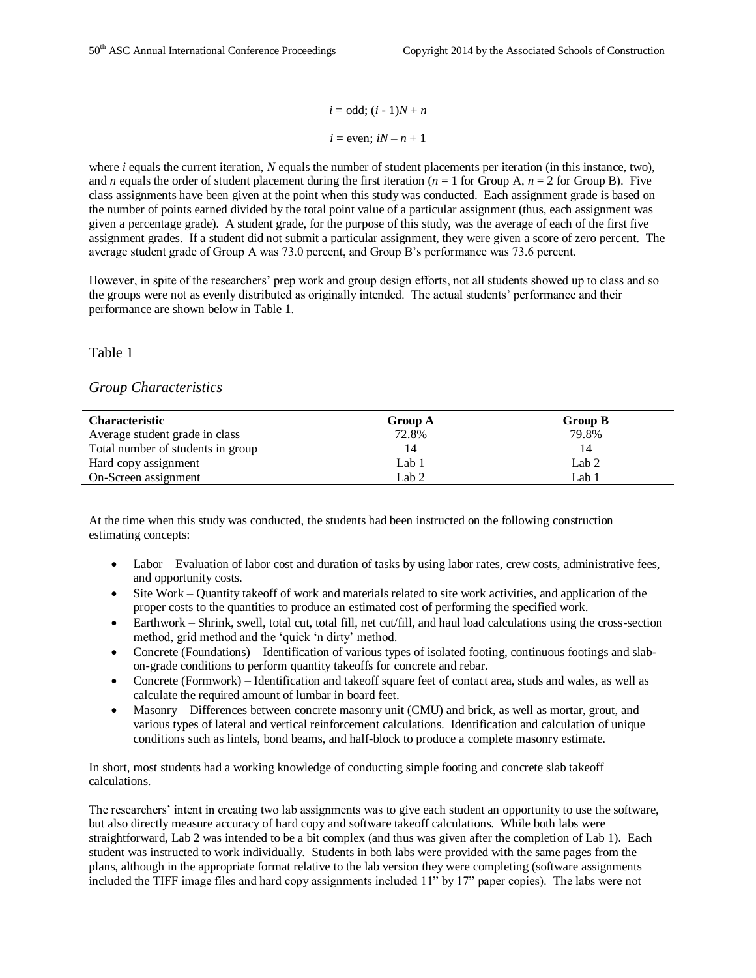$i = odd$ ;  $(i - 1)N + n$  $i =$  even;  $iN - n + 1$ 

where *i* equals the current iteration, *N* equals the number of student placements per iteration (in this instance, two), and *n* equals the order of student placement during the first iteration ( $n = 1$  for Group A,  $n = 2$  for Group B). Five class assignments have been given at the point when this study was conducted. Each assignment grade is based on the number of points earned divided by the total point value of a particular assignment (thus, each assignment was given a percentage grade). A student grade, for the purpose of this study, was the average of each of the first five assignment grades. If a student did not submit a particular assignment, they were given a score of zero percent. The average student grade of Group A was 73.0 percent, and Group B's performance was 73.6 percent.

However, in spite of the researchers' prep work and group design efforts, not all students showed up to class and so the groups were not as evenly distributed as originally intended. The actual students' performance and their performance are shown below in Table 1.

Table 1

# *Group Characteristics*

| <b>Characteristic</b>             | Group A | Group B |  |
|-----------------------------------|---------|---------|--|
| Average student grade in class    | 72.8%   | 79.8%   |  |
| Total number of students in group | 14      | 14      |  |
| Hard copy assignment              | Lab 1   | Lab 2   |  |
| On-Screen assignment              | Lab 2   | Lab 1   |  |

At the time when this study was conducted, the students had been instructed on the following construction estimating concepts:

- Labor Evaluation of labor cost and duration of tasks by using labor rates, crew costs, administrative fees, and opportunity costs.
- Site Work Quantity takeoff of work and materials related to site work activities, and application of the proper costs to the quantities to produce an estimated cost of performing the specified work.
- Earthwork Shrink, swell, total cut, total fill, net cut/fill, and haul load calculations using the cross-section method, grid method and the 'quick 'n dirty' method.
- Concrete (Foundations) Identification of various types of isolated footing, continuous footings and slabon-grade conditions to perform quantity takeoffs for concrete and rebar.
- Concrete (Formwork) Identification and takeoff square feet of contact area, studs and wales, as well as calculate the required amount of lumbar in board feet.
- Masonry Differences between concrete masonry unit (CMU) and brick, as well as mortar, grout, and various types of lateral and vertical reinforcement calculations. Identification and calculation of unique conditions such as lintels, bond beams, and half-block to produce a complete masonry estimate.

In short, most students had a working knowledge of conducting simple footing and concrete slab takeoff calculations.

The researchers' intent in creating two lab assignments was to give each student an opportunity to use the software, but also directly measure accuracy of hard copy and software takeoff calculations. While both labs were straightforward, Lab 2 was intended to be a bit complex (and thus was given after the completion of Lab 1). Each student was instructed to work individually. Students in both labs were provided with the same pages from the plans, although in the appropriate format relative to the lab version they were completing (software assignments included the TIFF image files and hard copy assignments included 11" by 17" paper copies). The labs were not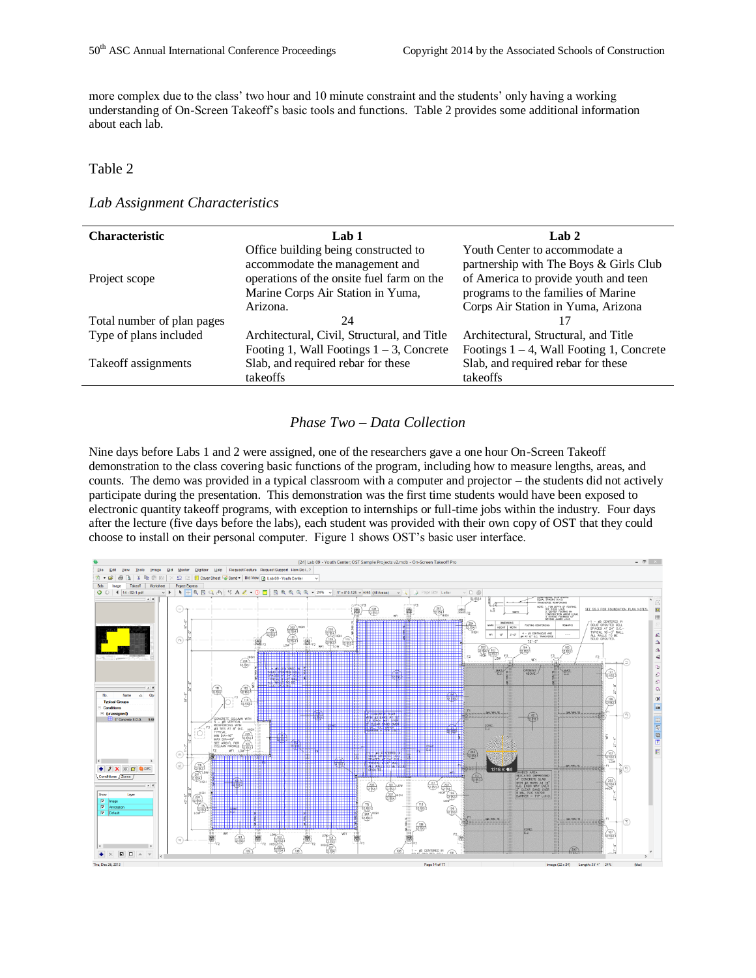more complex due to the class' two hour and 10 minute constraint and the students' only having a working understanding of On-Screen Takeoff's basic tools and functions. Table 2 provides some additional information about each lab.

#### Table 2

#### *Lab Assignment Characteristics*

| <b>Characteristic</b>      | Lab 1                                                                          | Lab $2$                                                                    |
|----------------------------|--------------------------------------------------------------------------------|----------------------------------------------------------------------------|
|                            | Office building being constructed to<br>accommodate the management and         | Youth Center to accommodate a<br>partnership with The Boys & Girls Club    |
| Project scope              | operations of the onsite fuel farm on the<br>Marine Corps Air Station in Yuma, | of America to provide youth and teen<br>programs to the families of Marine |
|                            | Arizona.                                                                       | Corps Air Station in Yuma, Arizona                                         |
| Total number of plan pages | 24                                                                             |                                                                            |
| Type of plans included     | Architectural, Civil, Structural, and Title                                    | Architectural, Structural, and Title                                       |
|                            | Footing 1, Wall Footings $1 - 3$ , Concrete                                    | Footings $1 - 4$ , Wall Footing 1, Concrete                                |
| Takeoff assignments        | Slab, and required rebar for these                                             | Slab, and required rebar for these                                         |
|                            | takeoffs                                                                       | takeoffs                                                                   |

# *Phase Two – Data Collection*

Nine days before Labs 1 and 2 were assigned, one of the researchers gave a one hour On-Screen Takeoff demonstration to the class covering basic functions of the program, including how to measure lengths, areas, and counts. The demo was provided in a typical classroom with a computer and projector – the students did not actively participate during the presentation. This demonstration was the first time students would have been exposed to electronic quantity takeoff programs, with exception to internships or full-time jobs within the industry. Four days after the lecture (five days before the labs), each student was provided with their own copy of OST that they could choose to install on their personal computer. Figure 1 shows OST's basic user interface.

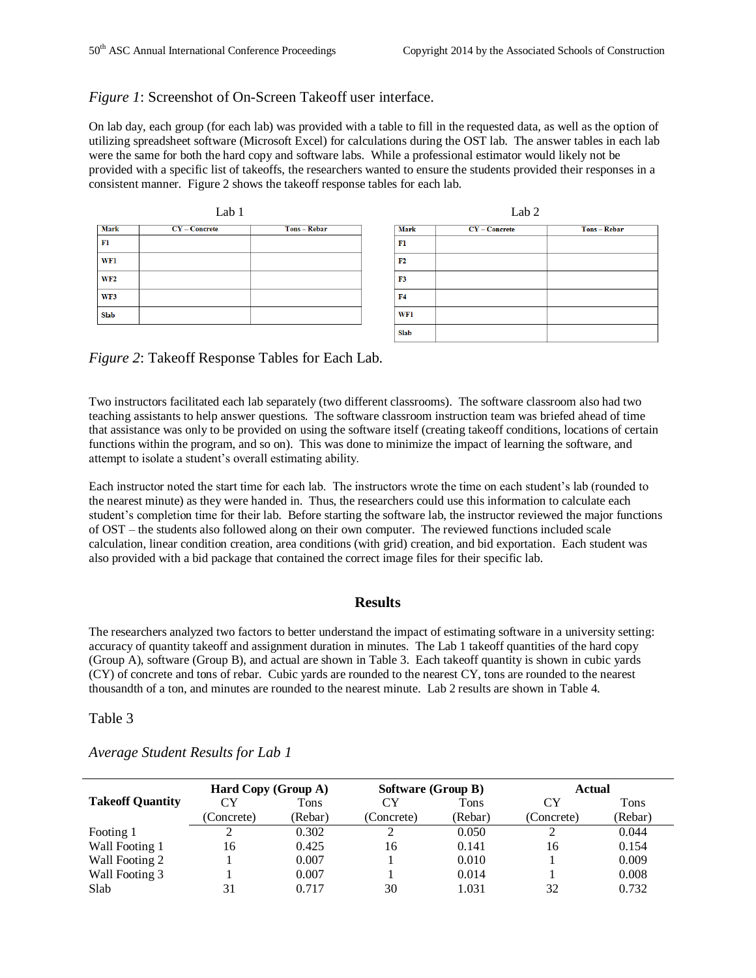#### *Figure 1*: Screenshot of On-Screen Takeoff user interface.

On lab day, each group (for each lab) was provided with a table to fill in the requested data, as well as the option of utilizing spreadsheet software (Microsoft Excel) for calculations during the OST lab. The answer tables in each lab were the same for both the hard copy and software labs. While a professional estimator would likely not be provided with a specific list of takeoffs, the researchers wanted to ensure the students provided their responses in a consistent manner. Figure 2 shows the takeoff response tables for each lab.



*Figure 2*: Takeoff Response Tables for Each Lab.

Two instructors facilitated each lab separately (two different classrooms). The software classroom also had two teaching assistants to help answer questions. The software classroom instruction team was briefed ahead of time that assistance was only to be provided on using the software itself (creating takeoff conditions, locations of certain functions within the program, and so on). This was done to minimize the impact of learning the software, and attempt to isolate a student's overall estimating ability.

Each instructor noted the start time for each lab. The instructors wrote the time on each student's lab (rounded to the nearest minute) as they were handed in. Thus, the researchers could use this information to calculate each student's completion time for their lab. Before starting the software lab, the instructor reviewed the major functions of OST – the students also followed along on their own computer. The reviewed functions included scale calculation, linear condition creation, area conditions (with grid) creation, and bid exportation. Each student was also provided with a bid package that contained the correct image files for their specific lab.

#### **Results**

The researchers analyzed two factors to better understand the impact of estimating software in a university setting: accuracy of quantity takeoff and assignment duration in minutes. The Lab 1 takeoff quantities of the hard copy (Group A), software (Group B), and actual are shown in Table 3. Each takeoff quantity is shown in cubic yards (CY) of concrete and tons of rebar. Cubic yards are rounded to the nearest CY, tons are rounded to the nearest thousandth of a ton, and minutes are rounded to the nearest minute. Lab 2 results are shown in Table 4.

Table 3

|                         | <b>Hard Copy (Group A)</b> |         | <b>Software (Group B)</b> |         | <b>Actual</b> |         |
|-------------------------|----------------------------|---------|---------------------------|---------|---------------|---------|
| <b>Takeoff Quantity</b> | СY                         | Tons    | CY                        | Tons    | CY            | Tons    |
|                         | (Concrete)                 | (Rebar) | (Concrete)                | (Rebar) | (Concrete)    | (Rebar) |
| Footing 1               |                            | 0.302   |                           | 0.050   |               | 0.044   |
| Wall Footing 1          | 16                         | 0.425   | 16                        | 0.141   | 16            | 0.154   |
| Wall Footing 2          |                            | 0.007   |                           | 0.010   |               | 0.009   |
| Wall Footing 3          |                            | 0.007   |                           | 0.014   |               | 0.008   |
| Slab                    | 31                         | 0.717   | 30                        | 1.031   | 32            | 0.732   |

*Average Student Results for Lab 1*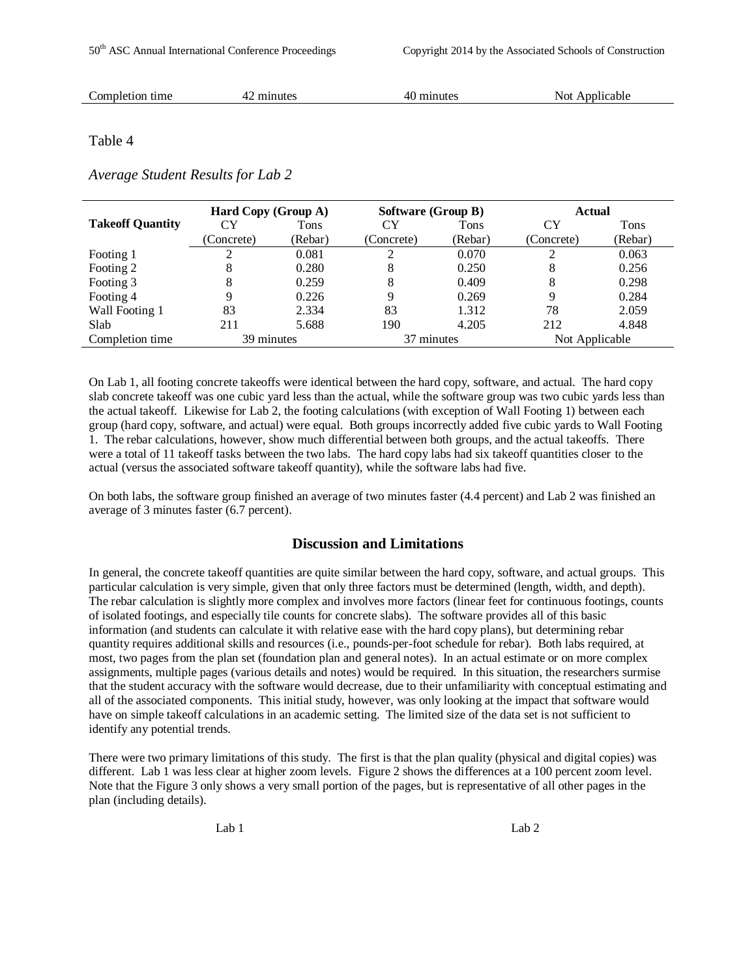| піег<br>canie<br>,,,,,,<br>ute:<br>l<br>$\sim$ $\sim$ $\sim$ $\sim$ $\sim$<br>.<br>. | omr<br>ume<br>or | utoc |  | .<br>'NOT |
|--------------------------------------------------------------------------------------|------------------|------|--|-----------|
|--------------------------------------------------------------------------------------|------------------|------|--|-----------|

#### Table 4

#### *Average Student Results for Lab 2*

|                         | Hard Copy (Group A) |         | <b>Software (Group B)</b> |         | Actual         |         |
|-------------------------|---------------------|---------|---------------------------|---------|----------------|---------|
| <b>Takeoff Quantity</b> | CY                  | Tons    | CY                        | Tons    | CY             | Tons    |
|                         | (Concrete)          | (Rebar) | (Concrete)                | (Rebar) | (Concrete)     | (Rebar) |
| Footing 1               | ∍                   | 0.081   | ◠                         | 0.070   |                | 0.063   |
| Footing 2               | 8                   | 0.280   | 8                         | 0.250   | 8              | 0.256   |
| Footing 3               | 8                   | 0.259   | 8                         | 0.409   | 8              | 0.298   |
| Footing 4               | 9                   | 0.226   | 9                         | 0.269   | Q              | 0.284   |
| Wall Footing 1          | 83                  | 2.334   | 83                        | 1.312   | 78             | 2.059   |
| Slab                    | 211                 | 5.688   | 190                       | 4.205   | 212            | 4.848   |
| Completion time         | 39 minutes          |         | 37 minutes                |         | Not Applicable |         |

On Lab 1, all footing concrete takeoffs were identical between the hard copy, software, and actual. The hard copy slab concrete takeoff was one cubic yard less than the actual, while the software group was two cubic yards less than the actual takeoff. Likewise for Lab 2, the footing calculations (with exception of Wall Footing 1) between each group (hard copy, software, and actual) were equal. Both groups incorrectly added five cubic yards to Wall Footing 1. The rebar calculations, however, show much differential between both groups, and the actual takeoffs. There were a total of 11 takeoff tasks between the two labs. The hard copy labs had six takeoff quantities closer to the actual (versus the associated software takeoff quantity), while the software labs had five.

On both labs, the software group finished an average of two minutes faster (4.4 percent) and Lab 2 was finished an average of 3 minutes faster (6.7 percent).

# **Discussion and Limitations**

In general, the concrete takeoff quantities are quite similar between the hard copy, software, and actual groups. This particular calculation is very simple, given that only three factors must be determined (length, width, and depth). The rebar calculation is slightly more complex and involves more factors (linear feet for continuous footings, counts of isolated footings, and especially tile counts for concrete slabs). The software provides all of this basic information (and students can calculate it with relative ease with the hard copy plans), but determining rebar quantity requires additional skills and resources (i.e., pounds-per-foot schedule for rebar). Both labs required, at most, two pages from the plan set (foundation plan and general notes). In an actual estimate or on more complex assignments, multiple pages (various details and notes) would be required. In this situation, the researchers surmise that the student accuracy with the software would decrease, due to their unfamiliarity with conceptual estimating and all of the associated components. This initial study, however, was only looking at the impact that software would have on simple takeoff calculations in an academic setting. The limited size of the data set is not sufficient to identify any potential trends.

There were two primary limitations of this study. The first is that the plan quality (physical and digital copies) was different. Lab 1 was less clear at higher zoom levels. Figure 2 shows the differences at a 100 percent zoom level. Note that the Figure 3 only shows a very small portion of the pages, but is representative of all other pages in the plan (including details).

Lab 1 Lab 2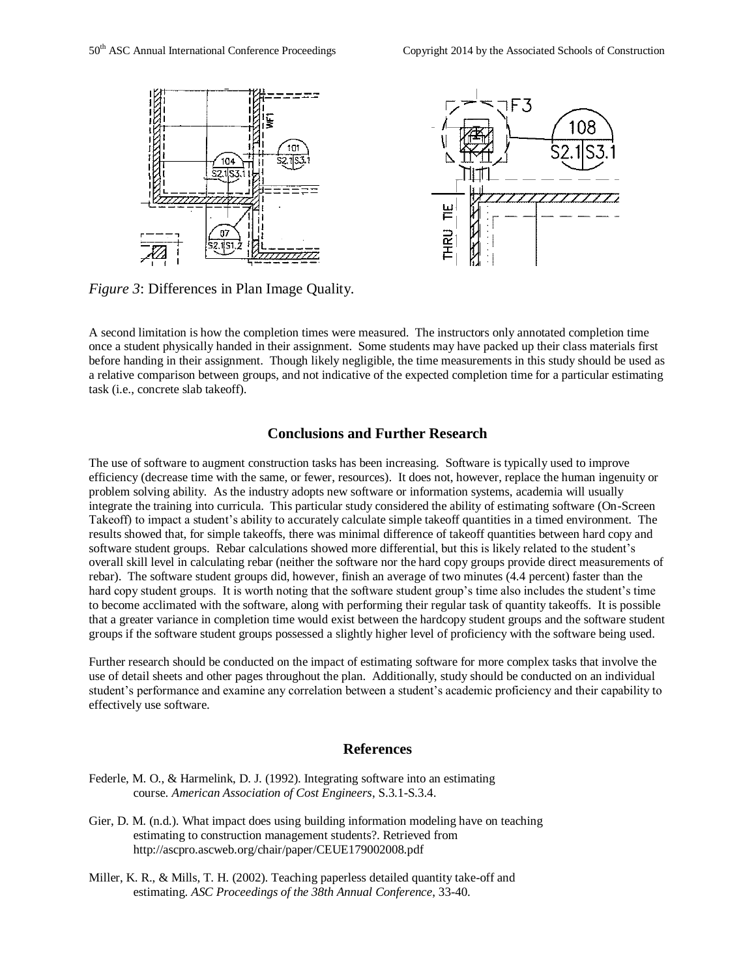

*Figure 3*: Differences in Plan Image Quality.

A second limitation is how the completion times were measured. The instructors only annotated completion time once a student physically handed in their assignment. Some students may have packed up their class materials first before handing in their assignment. Though likely negligible, the time measurements in this study should be used as a relative comparison between groups, and not indicative of the expected completion time for a particular estimating task (i.e., concrete slab takeoff).

#### **Conclusions and Further Research**

The use of software to augment construction tasks has been increasing. Software is typically used to improve efficiency (decrease time with the same, or fewer, resources). It does not, however, replace the human ingenuity or problem solving ability. As the industry adopts new software or information systems, academia will usually integrate the training into curricula. This particular study considered the ability of estimating software (On-Screen Takeoff) to impact a student's ability to accurately calculate simple takeoff quantities in a timed environment. The results showed that, for simple takeoffs, there was minimal difference of takeoff quantities between hard copy and software student groups. Rebar calculations showed more differential, but this is likely related to the student's overall skill level in calculating rebar (neither the software nor the hard copy groups provide direct measurements of rebar). The software student groups did, however, finish an average of two minutes (4.4 percent) faster than the hard copy student groups. It is worth noting that the software student group's time also includes the student's time to become acclimated with the software, along with performing their regular task of quantity takeoffs. It is possible that a greater variance in completion time would exist between the hardcopy student groups and the software student groups if the software student groups possessed a slightly higher level of proficiency with the software being used.

Further research should be conducted on the impact of estimating software for more complex tasks that involve the use of detail sheets and other pages throughout the plan. Additionally, study should be conducted on an individual student's performance and examine any correlation between a student's academic proficiency and their capability to effectively use software.

#### **References**

- Federle, M. O., & Harmelink, D. J. (1992). Integrating software into an estimating course. *American Association of Cost Engineers*, S.3.1-S.3.4.
- Gier, D. M. (n.d.). What impact does using building information modeling have on teaching estimating to construction management students?. Retrieved from http://ascpro.ascweb.org/chair/paper/CEUE179002008.pdf
- Miller, K. R., & Mills, T. H. (2002). Teaching paperless detailed quantity take-off and estimating. *ASC Proceedings of the 38th Annual Conference*, 33-40.